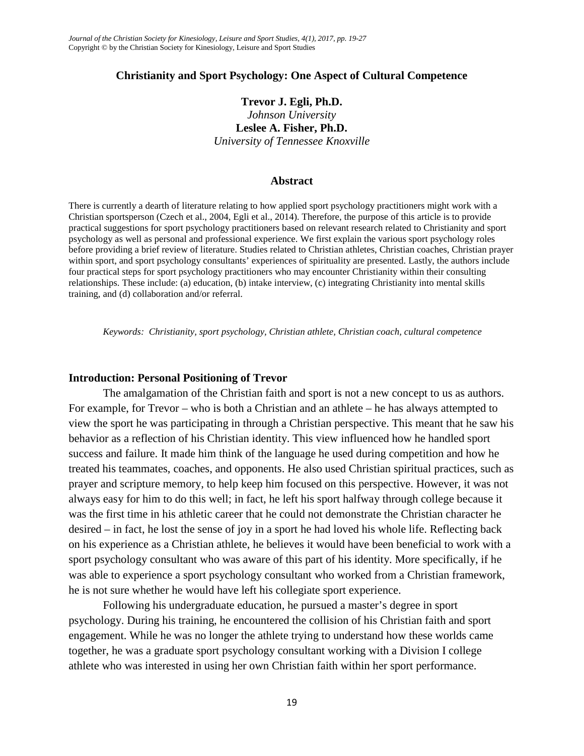#### **Christianity and Sport Psychology: One Aspect of Cultural Competence**

# **Trevor J. Egli, Ph.D.** *Johnson University* **Leslee A. Fisher, Ph.D.** *University of Tennessee Knoxville*

#### **Abstract**

There is currently a dearth of literature relating to how applied sport psychology practitioners might work with a Christian sportsperson (Czech et al., 2004, Egli et al., 2014). Therefore, the purpose of this article is to provide practical suggestions for sport psychology practitioners based on relevant research related to Christianity and sport psychology as well as personal and professional experience. We first explain the various sport psychology roles before providing a brief review of literature. Studies related to Christian athletes, Christian coaches, Christian prayer within sport, and sport psychology consultants' experiences of spirituality are presented. Lastly, the authors include four practical steps for sport psychology practitioners who may encounter Christianity within their consulting relationships. These include: (a) education, (b) intake interview, (c) integrating Christianity into mental skills training, and (d) collaboration and/or referral.

*Keywords: Christianity, sport psychology, Christian athlete, Christian coach, cultural competence*

#### **Introduction: Personal Positioning of Trevor**

The amalgamation of the Christian faith and sport is not a new concept to us as authors. For example, for Trevor – who is both a Christian and an athlete – he has always attempted to view the sport he was participating in through a Christian perspective. This meant that he saw his behavior as a reflection of his Christian identity. This view influenced how he handled sport success and failure. It made him think of the language he used during competition and how he treated his teammates, coaches, and opponents. He also used Christian spiritual practices, such as prayer and scripture memory, to help keep him focused on this perspective. However, it was not always easy for him to do this well; in fact, he left his sport halfway through college because it was the first time in his athletic career that he could not demonstrate the Christian character he desired – in fact, he lost the sense of joy in a sport he had loved his whole life. Reflecting back on his experience as a Christian athlete, he believes it would have been beneficial to work with a sport psychology consultant who was aware of this part of his identity. More specifically, if he was able to experience a sport psychology consultant who worked from a Christian framework, he is not sure whether he would have left his collegiate sport experience.

Following his undergraduate education, he pursued a master's degree in sport psychology. During his training, he encountered the collision of his Christian faith and sport engagement. While he was no longer the athlete trying to understand how these worlds came together, he was a graduate sport psychology consultant working with a Division I college athlete who was interested in using her own Christian faith within her sport performance.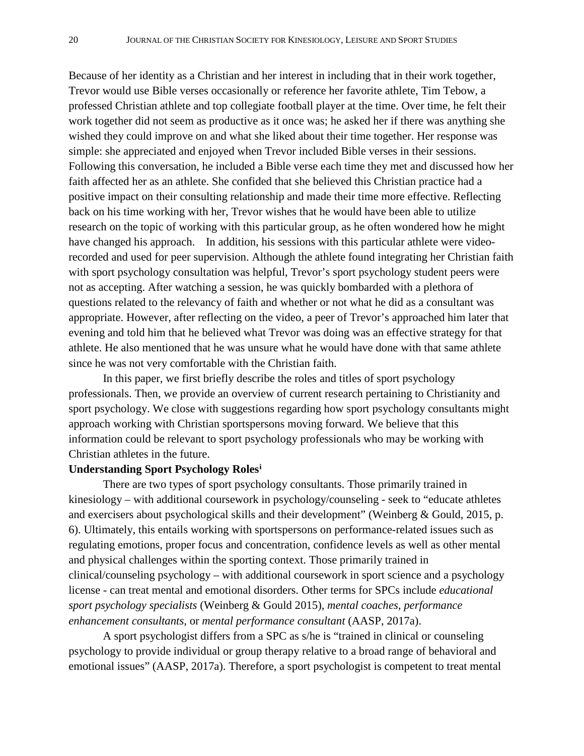Because of her identity as a Christian and her interest in including that in their work together, Trevor would use Bible verses occasionally or reference her favorite athlete, Tim Tebow, a professed Christian athlete and top collegiate football player at the time. Over time, he felt their work together did not seem as productive as it once was; he asked her if there was anything she wished they could improve on and what she liked about their time together. Her response was simple: she appreciated and enjoyed when Trevor included Bible verses in their sessions. Following this conversation, he included a Bible verse each time they met and discussed how her faith affected her as an athlete. She confided that she believed this Christian practice had a positive impact on their consulting relationship and made their time more effective. Reflecting back on his time working with her, Trevor wishes that he would have been able to utilize research on the topic of working with this particular group, as he often wondered how he might have changed his approach. In addition, his sessions with this particular athlete were videorecorded and used for peer supervision. Although the athlete found integrating her Christian faith with sport psychology consultation was helpful, Trevor's sport psychology student peers were not as accepting. After watching a session, he was quickly bombarded with a plethora of questions related to the relevancy of faith and whether or not what he did as a consultant was appropriate. However, after reflecting on the video, a peer of Trevor's approached him later that evening and told him that he believed what Trevor was doing was an effective strategy for that athlete. He also mentioned that he was unsure what he would have done with that same athlete since he was not very comfortable with the Christian faith.

In this paper, we first briefly describe the roles and titles of sport psychology professionals. Then, we provide an overview of current research pertaining to Christianity and sport psychology. We close with suggestions regarding how sport psychology consultants might approach working with Christian sportspersons moving forward. We believe that this information could be relevant to sport psychology professionals who may be working with Christian athletes in the future.

## **Understanding Sport Psychology Roles[i](#page-8-0)**

There are two types of sport psychology consultants. Those primarily trained in kinesiology – with additional coursework in psychology/counseling - seek to "educate athletes and exercisers about psychological skills and their development" (Weinberg & Gould, 2015, p. 6). Ultimately, this entails working with sportspersons on performance-related issues such as regulating emotions, proper focus and concentration, confidence levels as well as other mental and physical challenges within the sporting context. Those primarily trained in clinical/counseling psychology – with additional coursework in sport science and a psychology license - can treat mental and emotional disorders. Other terms for SPCs include *educational sport psychology specialists* (Weinberg & Gould 2015), *mental coaches, performance enhancement consultants,* or *mental performance consultant* (AASP, 2017a).

A sport psychologist differs from a SPC as s/he is "trained in clinical or counseling psychology to provide individual or group therapy relative to a broad range of behavioral and emotional issues" (AASP, 2017a). Therefore, a sport psychologist is competent to treat mental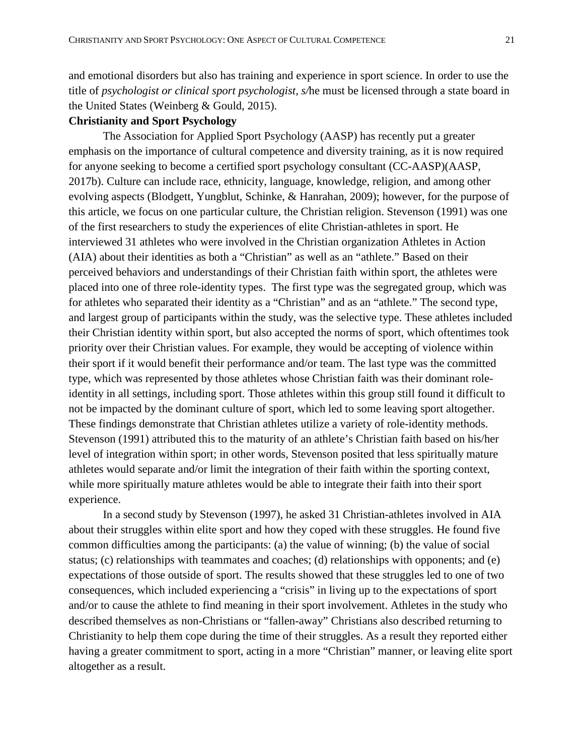and emotional disorders but also has training and experience in sport science. In order to use the title of *psychologist or clinical sport psychologist, s/*he must be licensed through a state board in the United States (Weinberg & Gould, 2015).

## **Christianity and Sport Psychology**

The Association for Applied Sport Psychology (AASP) has recently put a greater emphasis on the importance of cultural competence and diversity training, as it is now required for anyone seeking to become a certified sport psychology consultant (CC-AASP)(AASP, 2017b). Culture can include race, ethnicity, language, knowledge, religion, and among other evolving aspects (Blodgett, Yungblut, Schinke, & Hanrahan, 2009); however, for the purpose of this article, we focus on one particular culture, the Christian religion. Stevenson (1991) was one of the first researchers to study the experiences of elite Christian-athletes in sport. He interviewed 31 athletes who were involved in the Christian organization Athletes in Action (AIA) about their identities as both a "Christian" as well as an "athlete." Based on their perceived behaviors and understandings of their Christian faith within sport, the athletes were placed into one of three role-identity types. The first type was the segregated group, which was for athletes who separated their identity as a "Christian" and as an "athlete." The second type, and largest group of participants within the study, was the selective type. These athletes included their Christian identity within sport, but also accepted the norms of sport, which oftentimes took priority over their Christian values. For example, they would be accepting of violence within their sport if it would benefit their performance and/or team. The last type was the committed type, which was represented by those athletes whose Christian faith was their dominant roleidentity in all settings, including sport. Those athletes within this group still found it difficult to not be impacted by the dominant culture of sport, which led to some leaving sport altogether. These findings demonstrate that Christian athletes utilize a variety of role-identity methods. Stevenson (1991) attributed this to the maturity of an athlete's Christian faith based on his/her level of integration within sport; in other words, Stevenson posited that less spiritually mature athletes would separate and/or limit the integration of their faith within the sporting context, while more spiritually mature athletes would be able to integrate their faith into their sport experience.

In a second study by Stevenson (1997), he asked 31 Christian-athletes involved in AIA about their struggles within elite sport and how they coped with these struggles. He found five common difficulties among the participants: (a) the value of winning; (b) the value of social status; (c) relationships with teammates and coaches; (d) relationships with opponents; and (e) expectations of those outside of sport. The results showed that these struggles led to one of two consequences, which included experiencing a "crisis" in living up to the expectations of sport and/or to cause the athlete to find meaning in their sport involvement. Athletes in the study who described themselves as non-Christians or "fallen-away" Christians also described returning to Christianity to help them cope during the time of their struggles. As a result they reported either having a greater commitment to sport, acting in a more "Christian" manner, or leaving elite sport altogether as a result.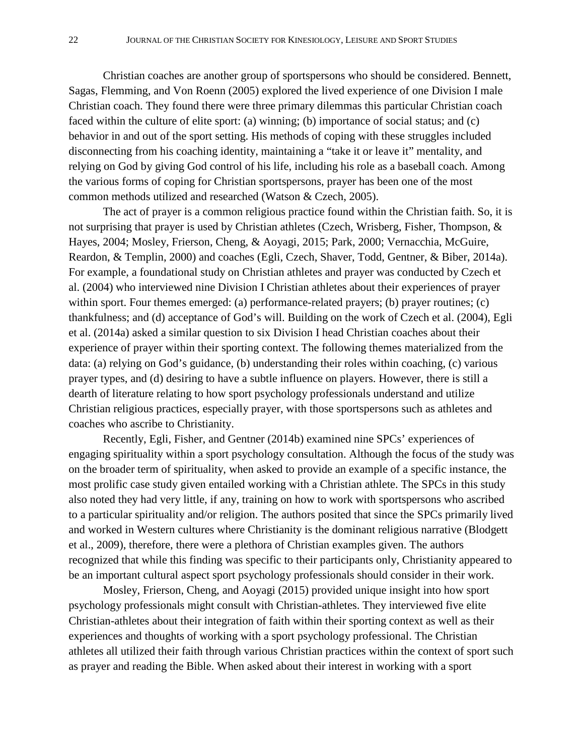Christian coaches are another group of sportspersons who should be considered. Bennett, Sagas, Flemming, and Von Roenn (2005) explored the lived experience of one Division I male Christian coach. They found there were three primary dilemmas this particular Christian coach faced within the culture of elite sport: (a) winning; (b) importance of social status; and (c) behavior in and out of the sport setting. His methods of coping with these struggles included disconnecting from his coaching identity, maintaining a "take it or leave it" mentality, and relying on God by giving God control of his life, including his role as a baseball coach. Among the various forms of coping for Christian sportspersons, prayer has been one of the most common methods utilized and researched (Watson & Czech, 2005).

The act of prayer is a common religious practice found within the Christian faith. So, it is not surprising that prayer is used by Christian athletes (Czech, Wrisberg, Fisher, Thompson, & Hayes, 2004; Mosley, Frierson, Cheng, & Aoyagi, 2015; Park, 2000; Vernacchia, McGuire, Reardon, & Templin, 2000) and coaches (Egli, Czech, Shaver, Todd, Gentner, & Biber, 2014a). For example, a foundational study on Christian athletes and prayer was conducted by Czech et al. (2004) who interviewed nine Division I Christian athletes about their experiences of prayer within sport. Four themes emerged: (a) performance-related prayers; (b) prayer routines; (c) thankfulness; and (d) acceptance of God's will. Building on the work of Czech et al. (2004), Egli et al. (2014a) asked a similar question to six Division I head Christian coaches about their experience of prayer within their sporting context. The following themes materialized from the data: (a) relying on God's guidance, (b) understanding their roles within coaching, (c) various prayer types, and (d) desiring to have a subtle influence on players. However, there is still a dearth of literature relating to how sport psychology professionals understand and utilize Christian religious practices, especially prayer, with those sportspersons such as athletes and coaches who ascribe to Christianity.

Recently, Egli, Fisher, and Gentner (2014b) examined nine SPCs' experiences of engaging spirituality within a sport psychology consultation. Although the focus of the study was on the broader term of spirituality, when asked to provide an example of a specific instance, the most prolific case study given entailed working with a Christian athlete. The SPCs in this study also noted they had very little, if any, training on how to work with sportspersons who ascribed to a particular spirituality and/or religion. The authors posited that since the SPCs primarily lived and worked in Western cultures where Christianity is the dominant religious narrative (Blodgett et al., 2009), therefore, there were a plethora of Christian examples given. The authors recognized that while this finding was specific to their participants only, Christianity appeared to be an important cultural aspect sport psychology professionals should consider in their work.

Mosley, Frierson, Cheng, and Aoyagi (2015) provided unique insight into how sport psychology professionals might consult with Christian-athletes. They interviewed five elite Christian-athletes about their integration of faith within their sporting context as well as their experiences and thoughts of working with a sport psychology professional. The Christian athletes all utilized their faith through various Christian practices within the context of sport such as prayer and reading the Bible. When asked about their interest in working with a sport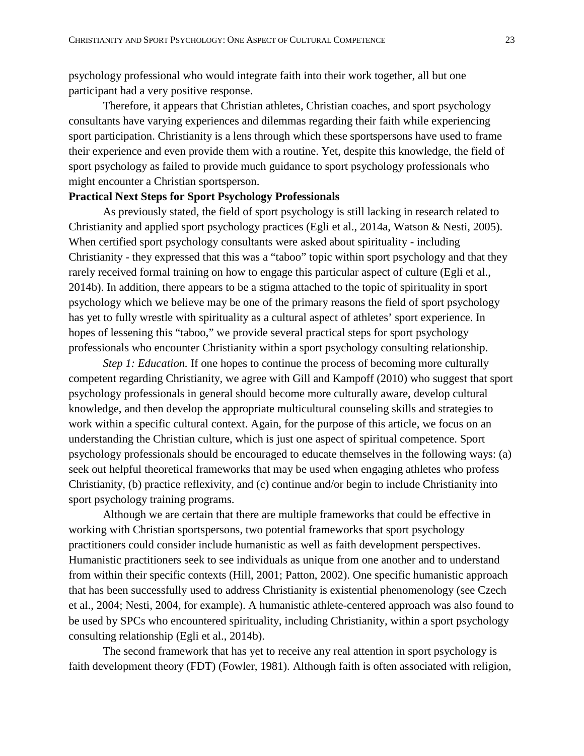psychology professional who would integrate faith into their work together, all but one participant had a very positive response.

Therefore, it appears that Christian athletes, Christian coaches, and sport psychology consultants have varying experiences and dilemmas regarding their faith while experiencing sport participation. Christianity is a lens through which these sportspersons have used to frame their experience and even provide them with a routine. Yet, despite this knowledge, the field of sport psychology as failed to provide much guidance to sport psychology professionals who might encounter a Christian sportsperson.

## **Practical Next Steps for Sport Psychology Professionals**

As previously stated, the field of sport psychology is still lacking in research related to Christianity and applied sport psychology practices (Egli et al., 2014a, Watson & Nesti, 2005). When certified sport psychology consultants were asked about spirituality - including Christianity - they expressed that this was a "taboo" topic within sport psychology and that they rarely received formal training on how to engage this particular aspect of culture (Egli et al., 2014b). In addition, there appears to be a stigma attached to the topic of spirituality in sport psychology which we believe may be one of the primary reasons the field of sport psychology has yet to fully wrestle with spirituality as a cultural aspect of athletes' sport experience. In hopes of lessening this "taboo," we provide several practical steps for sport psychology professionals who encounter Christianity within a sport psychology consulting relationship.

*Step 1: Education.* If one hopes to continue the process of becoming more culturally competent regarding Christianity, we agree with Gill and Kampoff (2010) who suggest that sport psychology professionals in general should become more culturally aware, develop cultural knowledge, and then develop the appropriate multicultural counseling skills and strategies to work within a specific cultural context. Again, for the purpose of this article, we focus on an understanding the Christian culture, which is just one aspect of spiritual competence. Sport psychology professionals should be encouraged to educate themselves in the following ways: (a) seek out helpful theoretical frameworks that may be used when engaging athletes who profess Christianity, (b) practice reflexivity, and (c) continue and/or begin to include Christianity into sport psychology training programs.

Although we are certain that there are multiple frameworks that could be effective in working with Christian sportspersons, two potential frameworks that sport psychology practitioners could consider include humanistic as well as faith development perspectives. Humanistic practitioners seek to see individuals as unique from one another and to understand from within their specific contexts (Hill, 2001; Patton, 2002). One specific humanistic approach that has been successfully used to address Christianity is existential phenomenology (see Czech et al., 2004; Nesti, 2004, for example). A humanistic athlete-centered approach was also found to be used by SPCs who encountered spirituality, including Christianity, within a sport psychology consulting relationship (Egli et al., 2014b).

The second framework that has yet to receive any real attention in sport psychology is faith development theory (FDT) (Fowler, 1981). Although faith is often associated with religion,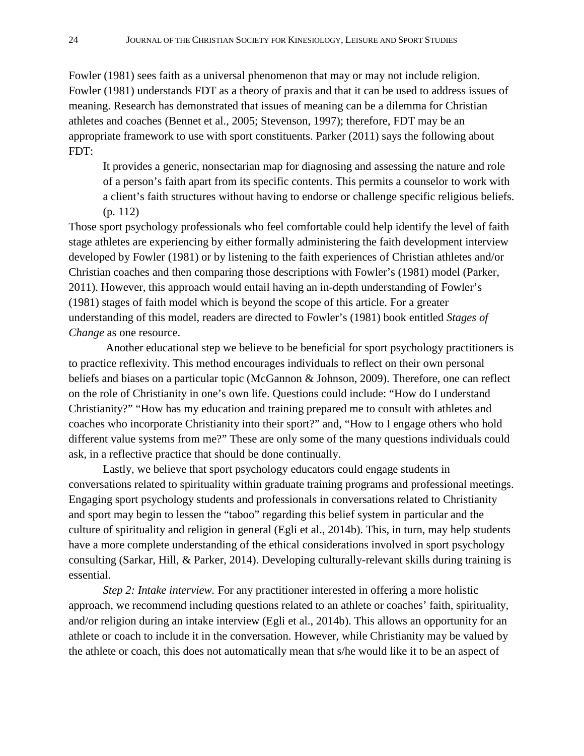Fowler (1981) sees faith as a universal phenomenon that may or may not include religion. Fowler (1981) understands FDT as a theory of praxis and that it can be used to address issues of meaning. Research has demonstrated that issues of meaning can be a dilemma for Christian athletes and coaches (Bennet et al., 2005; Stevenson, 1997); therefore, FDT may be an appropriate framework to use with sport constituents. Parker (2011) says the following about FDT:

It provides a generic, nonsectarian map for diagnosing and assessing the nature and role of a person's faith apart from its specific contents. This permits a counselor to work with a client's faith structures without having to endorse or challenge specific religious beliefs. (p. 112)

Those sport psychology professionals who feel comfortable could help identify the level of faith stage athletes are experiencing by either formally administering the faith development interview developed by Fowler (1981) or by listening to the faith experiences of Christian athletes and/or Christian coaches and then comparing those descriptions with Fowler's (1981) model (Parker, 2011). However, this approach would entail having an in-depth understanding of Fowler's (1981) stages of faith model which is beyond the scope of this article. For a greater understanding of this model, readers are directed to Fowler's (1981) book entitled *Stages of Change* as one resource.

Another educational step we believe to be beneficial for sport psychology practitioners is to practice reflexivity. This method encourages individuals to reflect on their own personal beliefs and biases on a particular topic (McGannon & Johnson, 2009). Therefore, one can reflect on the role of Christianity in one's own life. Questions could include: "How do I understand Christianity?" "How has my education and training prepared me to consult with athletes and coaches who incorporate Christianity into their sport?" and, "How to I engage others who hold different value systems from me?" These are only some of the many questions individuals could ask, in a reflective practice that should be done continually.

Lastly, we believe that sport psychology educators could engage students in conversations related to spirituality within graduate training programs and professional meetings. Engaging sport psychology students and professionals in conversations related to Christianity and sport may begin to lessen the "taboo" regarding this belief system in particular and the culture of spirituality and religion in general (Egli et al., 2014b). This, in turn, may help students have a more complete understanding of the ethical considerations involved in sport psychology consulting (Sarkar, Hill, & Parker, 2014). Developing culturally-relevant skills during training is essential.

*Step 2: Intake interview.* For any practitioner interested in offering a more holistic approach, we recommend including questions related to an athlete or coaches' faith, spirituality, and/or religion during an intake interview (Egli et al., 2014b). This allows an opportunity for an athlete or coach to include it in the conversation. However, while Christianity may be valued by the athlete or coach, this does not automatically mean that s/he would like it to be an aspect of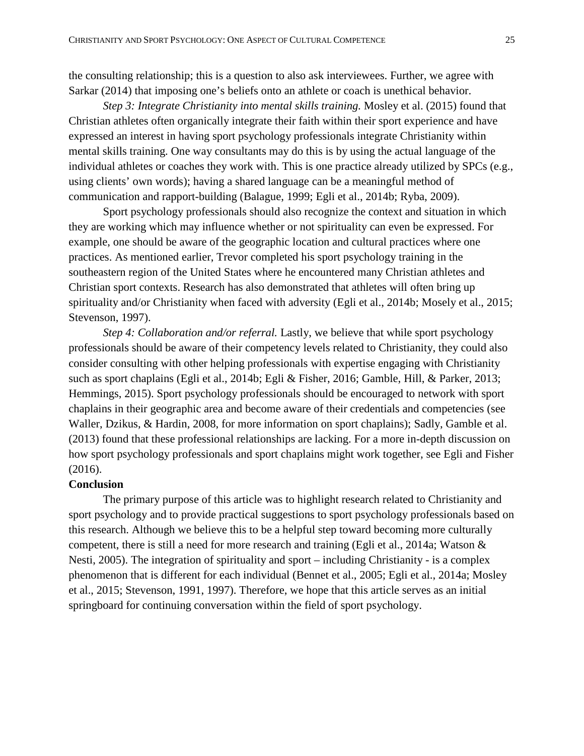the consulting relationship; this is a question to also ask interviewees. Further, we agree with Sarkar (2014) that imposing one's beliefs onto an athlete or coach is unethical behavior.

*Step 3: Integrate Christianity into mental skills training.* Mosley et al. (2015) found that Christian athletes often organically integrate their faith within their sport experience and have expressed an interest in having sport psychology professionals integrate Christianity within mental skills training. One way consultants may do this is by using the actual language of the individual athletes or coaches they work with. This is one practice already utilized by SPCs (e.g., using clients' own words); having a shared language can be a meaningful method of communication and rapport-building (Balague, 1999; Egli et al., 2014b; Ryba, 2009).

Sport psychology professionals should also recognize the context and situation in which they are working which may influence whether or not spirituality can even be expressed. For example, one should be aware of the geographic location and cultural practices where one practices. As mentioned earlier, Trevor completed his sport psychology training in the southeastern region of the United States where he encountered many Christian athletes and Christian sport contexts. Research has also demonstrated that athletes will often bring up spirituality and/or Christianity when faced with adversity (Egli et al., 2014b; Mosely et al., 2015; Stevenson, 1997).

*Step 4: Collaboration and/or referral.* Lastly, we believe that while sport psychology professionals should be aware of their competency levels related to Christianity, they could also consider consulting with other helping professionals with expertise engaging with Christianity such as sport chaplains (Egli et al., 2014b; Egli & Fisher, 2016; Gamble, Hill, & Parker, 2013; Hemmings, 2015). Sport psychology professionals should be encouraged to network with sport chaplains in their geographic area and become aware of their credentials and competencies (see Waller, Dzikus, & Hardin, 2008, for more information on sport chaplains); Sadly, Gamble et al. (2013) found that these professional relationships are lacking. For a more in-depth discussion on how sport psychology professionals and sport chaplains might work together, see Egli and Fisher (2016).

#### **Conclusion**

The primary purpose of this article was to highlight research related to Christianity and sport psychology and to provide practical suggestions to sport psychology professionals based on this research. Although we believe this to be a helpful step toward becoming more culturally competent, there is still a need for more research and training (Egli et al., 2014a; Watson & Nesti, 2005). The integration of spirituality and sport – including Christianity - is a complex phenomenon that is different for each individual (Bennet et al., 2005; Egli et al., 2014a; Mosley et al., 2015; Stevenson, 1991, 1997). Therefore, we hope that this article serves as an initial springboard for continuing conversation within the field of sport psychology.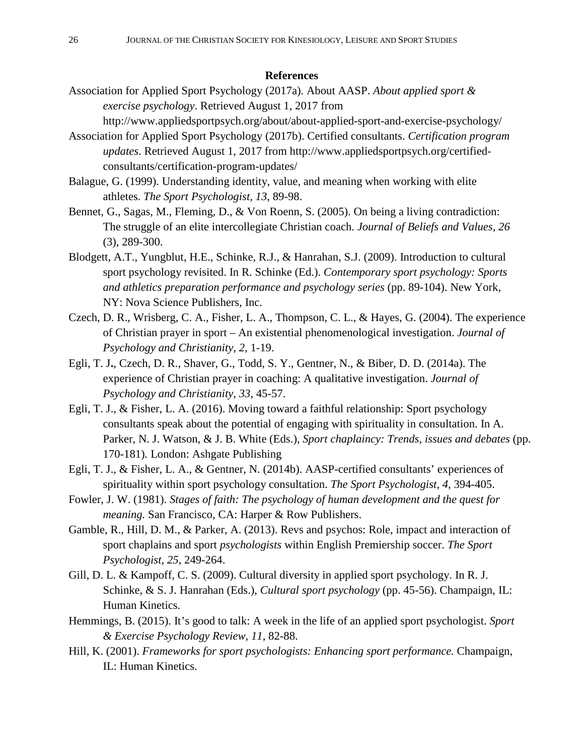## **References**

- Association for Applied Sport Psychology (2017a). About AASP. *About applied sport & exercise psychology*. Retrieved August 1, 2017 from http://www.appliedsportpsych.org/about/about-applied-sport-and-exercise-psychology/
- Association for Applied Sport Psychology (2017b). Certified consultants. *Certification program updates*. Retrieved August 1, 2017 from http://www.appliedsportpsych.org/certifiedconsultants/certification-program-updates/
- Balague, G. (1999). Understanding identity, value, and meaning when working with elite athletes. *The Sport Psychologist, 13*, 89-98.
- Bennet, G., Sagas, M., Fleming, D., & Von Roenn, S. (2005). On being a living contradiction: The struggle of an elite intercollegiate Christian coach. *Journal of Beliefs and Values, 26* (3), 289-300.
- Blodgett, A.T., Yungblut, H.E., Schinke, R.J., & Hanrahan, S.J. (2009). Introduction to cultural sport psychology revisited. In R. Schinke (Ed.). *Contemporary sport psychology: Sports and athletics preparation performance and psychology series* (pp. 89-104). New York, NY: Nova Science Publishers, Inc.
- Czech, D. R., Wrisberg, C. A., Fisher, L. A., Thompson, C. L., & Hayes, G. (2004). The experience of Christian prayer in sport – An existential phenomenological investigation. *Journal of Psychology and Christianity, 2,* 1-19.
- Egli, T. J**.**, Czech, D. R., Shaver, G., Todd, S. Y., Gentner, N., & Biber, D. D. (2014a). The experience of Christian prayer in coaching: A qualitative investigation. *Journal of Psychology and Christianity, 33*, 45-57.
- Egli, T. J., & Fisher, L. A. (2016). Moving toward a faithful relationship: Sport psychology consultants speak about the potential of engaging with spirituality in consultation. In A. Parker, N. J. Watson, & J. B. White (Eds.), *Sport chaplaincy: Trends, issues and debates* (pp. 170-181)*.* London: Ashgate Publishing
- Egli, T. J., & Fisher, L. A., & Gentner, N. (2014b). AASP-certified consultants' experiences of spirituality within sport psychology consultation. *The Sport Psychologist*, *4*, 394-405.
- Fowler, J. W. (1981). *Stages of faith: The psychology of human development and the quest for meaning.* San Francisco, CA: Harper & Row Publishers.
- Gamble, R., Hill, D. M., & Parker, A. (2013). Revs and psychos: Role, impact and interaction of sport chaplains and sport *psychologists* within English Premiership soccer. *The Sport Psychologist, 25*, 249-264.
- Gill, D. L. & Kampoff, C. S. (2009). Cultural diversity in applied sport psychology. In R. J. Schinke, & S. J. Hanrahan (Eds.), *Cultural sport psychology* (pp. 45-56). Champaign, IL: Human Kinetics.
- Hemmings, B. (2015). It's good to talk: A week in the life of an applied sport psychologist. *Sport & Exercise Psychology Review, 11*, 82-88.
- Hill, K. (2001). *Frameworks for sport psychologists: Enhancing sport performance.* Champaign, IL: Human Kinetics.